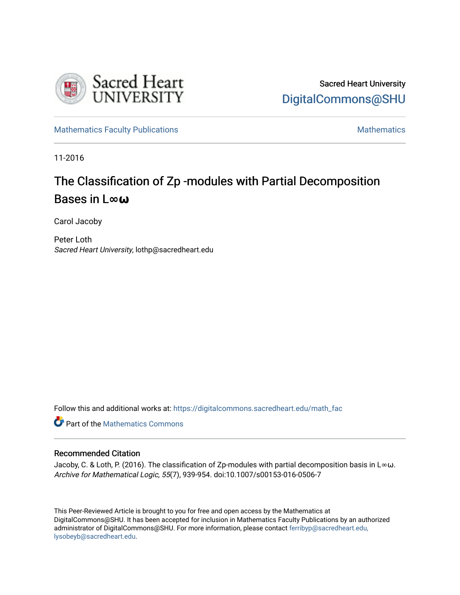

[Mathematics Faculty Publications](https://digitalcommons.sacredheart.edu/math_fac) [Mathematics](https://digitalcommons.sacredheart.edu/math) Mathematics Mathematics

11-2016

# The Classification of Zp -modules with Partial Decomposition Bases in L**∞ω**

Carol Jacoby

Peter Loth Sacred Heart University, lothp@sacredheart.edu

Follow this and additional works at: [https://digitalcommons.sacredheart.edu/math\\_fac](https://digitalcommons.sacredheart.edu/math_fac?utm_source=digitalcommons.sacredheart.edu%2Fmath_fac%2F51&utm_medium=PDF&utm_campaign=PDFCoverPages) 

**Part of the [Mathematics Commons](http://network.bepress.com/hgg/discipline/174?utm_source=digitalcommons.sacredheart.edu%2Fmath_fac%2F51&utm_medium=PDF&utm_campaign=PDFCoverPages)** 

### Recommended Citation

Jacoby, C. & Loth, P. (2016). The classification of Zp-modules with partial decomposition basis in L∞ω. Archive for Mathematical Logic, 55(7), 939-954. doi:10.1007/s00153-016-0506-7

This Peer-Reviewed Article is brought to you for free and open access by the Mathematics at DigitalCommons@SHU. It has been accepted for inclusion in Mathematics Faculty Publications by an authorized administrator of DigitalCommons@SHU. For more information, please contact [ferribyp@sacredheart.edu,](mailto:ferribyp@sacredheart.edu,%20lysobeyb@sacredheart.edu) [lysobeyb@sacredheart.edu](mailto:ferribyp@sacredheart.edu,%20lysobeyb@sacredheart.edu).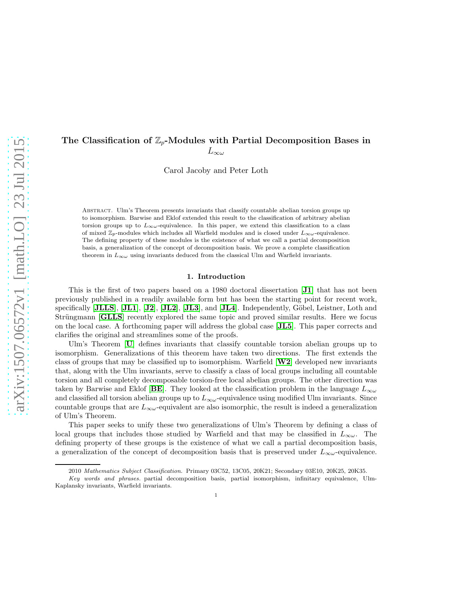## The Classification of  $\mathbb{Z}_p$ -Modules with Partial Decomposition Bases in  $L_{\infty\omega}$

Carol Jacoby and Peter Loth

ABSTRACT. Ulm's Theorem presents invariants that classify countable abelian torsion groups up to isomorphism. Barwise and Eklof extended this result to the classification of arbitrary abelian torsion groups up to  $L_{\infty\omega}$ -equivalence. In this paper, we extend this classification to a class of mixed  $\mathbb{Z}_p$ -modules which includes all Warfield modules and is closed under  $L_{\infty}\omega$ -equivalence. The defining property of these modules is the existence of what we call a partial decomposition basis, a generalization of the concept of decomposition basis. We prove a complete classification theorem in  $L_{\infty\omega}$  using invariants deduced from the classical Ulm and Warfield invariants.

#### 1. Introduction

This is the first of two papers based on a 1980 doctoral dissertation [[J1](#page-12-0)] that has not been previously published in a readily available form but has been the starting point for recent work, specifically  $[\mathbf{JLLS}]$  $[\mathbf{JLLS}]$  $[\mathbf{JLLS}]$ ,  $[\mathbf{JL1}]$  $[\mathbf{JL1}]$  $[\mathbf{JL1}]$ ,  $[\mathbf{J2}]$  $[\mathbf{J2}]$  $[\mathbf{J2}]$ ,  $[\mathbf{JL2}]$  $[\mathbf{JL2}]$  $[\mathbf{JL2}]$ ,  $[\mathbf{JL3}]$  $[\mathbf{JL3}]$  $[\mathbf{JL3}]$ , and  $[\mathbf{JL4}]$  $[\mathbf{JL4}]$  $[\mathbf{JL4}]$ . Independently, Göbel, Leistner, Loth and Strüngmann **[[GLLS](#page-12-7)**] recently explored the same topic and proved similar results. Here we focus on the local case. A forthcoming paper will address the global case [[JL5](#page-12-8)]. This paper corrects and clarifies the original and streamlines some of the proofs.

Ulm's Theorem [[U](#page-13-0)] defines invariants that classify countable torsion abelian groups up to isomorphism. Generalizations of this theorem have taken two directions. The first extends the class of groups that may be classified up to isomorphism. Warfield  $|\mathbf{W2}|$  $|\mathbf{W2}|$  $|\mathbf{W2}|$  developed new invariants that, along with the Ulm invariants, serve to classify a class of local groups including all countable torsion and all completely decomposable torsion-free local abelian groups. The other direction was taken by Barwise and Eklof [[BE](#page-12-9)]. They looked at the classification problem in the language  $L_{\infty \omega}$ and classified all torsion abelian groups up to  $L_{\infty\omega}$ -equivalence using modified Ulm invariants. Since countable groups that are  $L_{\infty\omega}$ -equivalent are also isomorphic, the result is indeed a generalization of Ulm's Theorem.

This paper seeks to unify these two generalizations of Ulm's Theorem by defining a class of local groups that includes those studied by Warfield and that may be classified in  $L_{\infty\omega}$ . The defining property of these groups is the existence of what we call a partial decomposition basis, a generalization of the concept of decomposition basis that is preserved under  $L_{\infty}\omega$ -equivalence.

<sup>2010</sup> Mathematics Subject Classification. Primary 03C52, 13C05, 20K21; Secondary 03E10, 20K25, 20K35.

Key words and phrases. partial decomposition basis, partial isomorphism, infinitary equivalence, Ulm-Kaplansky invariants, Warfield invariants.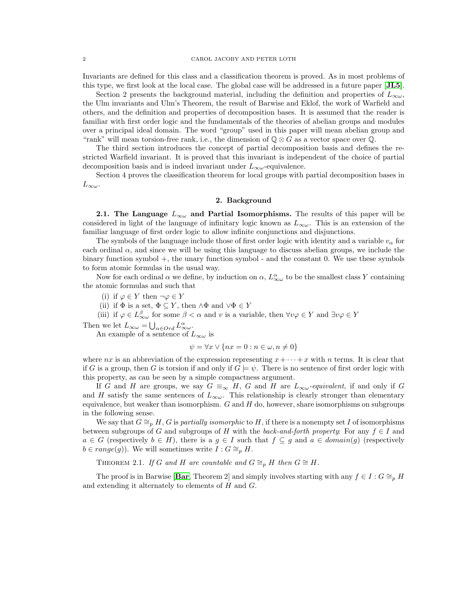Invariants are defined for this class and a classification theorem is proved. As in most problems of this type, we first look at the local case. The global case will be addressed in a future paper [[JL5](#page-12-8)].

Section 2 presents the background material, including the definition and properties of  $L_{\infty \omega}$ , the Ulm invariants and Ulm's Theorem, the result of Barwise and Eklof, the work of Warfield and others, and the definition and properties of decomposition bases. It is assumed that the reader is familiar with first order logic and the fundamentals of the theories of abelian groups and modules over a principal ideal domain. The word "group" used in this paper will mean abelian group and "rank" will mean torsion-free rank, i.e., the dimension of  $\mathbb{Q} \otimes G$  as a vector space over  $\mathbb{Q}$ .

The third section introduces the concept of partial decomposition basis and defines the restricted Warfield invariant. It is proved that this invariant is independent of the choice of partial decomposition basis and is indeed invariant under  $L_{\infty\omega}$ -equivalence.

Section 4 proves the classification theorem for local groups with partial decomposition bases in  $L_{\infty\omega}$ .

#### 2. Background

2.1. The Language  $L_{\infty}$  and Partial Isomorphisms. The results of this paper will be considered in light of the language of infinitary logic known as  $L_{\infty \omega}$ . This is an extension of the familiar language of first order logic to allow infinite conjunctions and disjunctions.

The symbols of the language include those of first order logic with identity and a variable  $v_{\alpha}$  for each ordinal  $\alpha$ , and since we will be using this language to discuss abelian groups, we include the binary function symbol +, the unary function symbol - and the constant 0. We use these symbols to form atomic formulas in the usual way.

Now for each ordinal  $\alpha$  we define, by induction on  $\alpha$ ,  $L^{\alpha}_{\infty \omega}$  to be the smallest class Y containing the atomic formulas and such that

(i) if  $\varphi \in Y$  then  $\neg \varphi \in Y$ 

(ii) if  $\Phi$  is a set,  $\Phi \subseteq Y$ , then  $\wedge \Phi$  and  $\vee \Phi \in Y$ 

(iii) if  $\varphi \in L^{\beta}_{\infty}$  for some  $\beta < \alpha$  and v is a variable, then  $\forall v \varphi \in Y$  and  $\exists v \varphi \in Y$ 

Then we let  $L_{\infty \omega} = \bigcup_{\alpha \in Ord} L_{\infty \omega}^{\alpha}.$ 

An example of a sentence of  $L_{\infty \omega}$  is

$$
\psi = \forall x \lor \{ nx = 0 : n \in \omega, n \neq 0 \}
$$

where nx is an abbreviation of the expression representing  $x + \cdots + x$  with n terms. It is clear that if G is a group, then G is torsion if and only if  $G \models \psi$ . There is no sentence of first order logic with this property, as can be seen by a simple compactness argument.

If G and H are groups, we say  $G \equiv_{\infty} H$ , G and H are  $L_{\infty \omega}$ -equivalent, if and only if G and H satisfy the same sentences of  $L_{\infty\omega}$ . This relationship is clearly stronger than elementary equivalence, but weaker than isomorphism.  $G$  and  $H$  do, however, share isomorphisms on subgroups in the following sense.

We say that  $G \cong_{p} H$ , G is *partially isomorphic* to H, if there is a nonempty set I of isomorphisms between subgroups of G and subgroups of H with the *back-and-forth property*: For any  $f \in I$  and  $a \in G$  (respectively  $b \in H$ ), there is a  $g \in I$  such that  $f \subseteq g$  and  $a \in domain(g)$  (respectively  $b \in range(g)$ . We will sometimes write  $I : G \cong_{p} H$ .

THEOREM 2.1. *If* G and H are countable and  $G \cong_{p} H$  then  $G \cong H$ .

The proof is in [Bar](#page-12-10)wise [Bar, Theorem 2] and simply involves starting with any  $f \in I : G \cong_p H$ and extending it alternately to elements of H and G.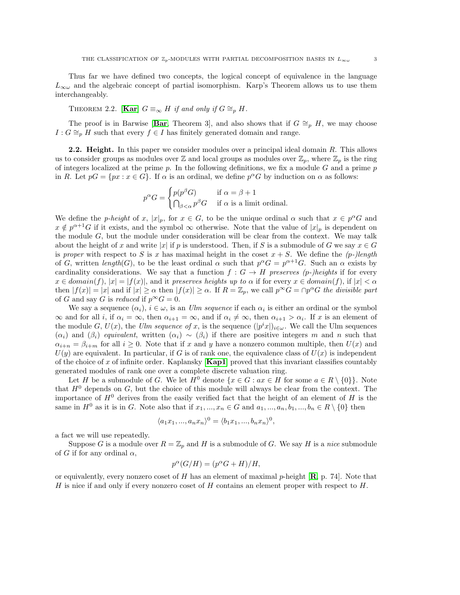Thus far we have defined two concepts, the logical concept of equivalence in the language  $L_{\infty\omega}$  and the algebraic concept of partial isomorphism. Karp's Theorem allows us to use them interchangeably.

THEOREM 2.2. [**[Kar](#page-13-2)**]  $G \equiv_{\infty} H$  *if and only if*  $G \cong_{p} H$ *.* 

The proof is in [Bar](#page-12-10)wise [Bar, Theorem 3], and also shows that if  $G \cong_{p} H$ , we may choose  $I: G \cong_p H$  such that every  $f \in I$  has finitely generated domain and range.

2.2. Height. In this paper we consider modules over a principal ideal domain R. This allows us to consider groups as modules over  $\mathbb Z$  and local groups as modules over  $\mathbb Z_p$ , where  $\mathbb Z_p$  is the ring of integers localized at the prime p. In the following definitions, we fix a module G and a prime  $p$ in R. Let  $pG = \{px : x \in G\}$ . If  $\alpha$  is an ordinal, we define  $p^{\alpha}G$  by induction on  $\alpha$  as follows:

$$
p^{\alpha}G = \begin{cases} p(p^{\beta}G) & \text{if } \alpha = \beta + 1 \\ \bigcap_{\beta < \alpha} p^{\beta}G & \text{if } \alpha \text{ is a limit ordinal.} \end{cases}
$$

We define the *p-height* of x,  $|x|_p$ , for  $x \in G$ , to be the unique ordinal  $\alpha$  such that  $x \in p^{\alpha}G$  and  $x \notin p^{\alpha+1}G$  if it exists, and the symbol  $\infty$  otherwise. Note that the value of  $|x|_p$  is dependent on the module  $G$ , but the module under consideration will be clear from the context. We may talk about the height of x and write |x| if p is understood. Then, if S is a submodule of G we say  $x \in G$ is *proper* with respect to S is x has maximal height in the coset  $x + S$ . We define the *(p-)length* of G, written  $length(G)$ , to be the least ordinal  $\alpha$  such that  $p^{\alpha}G = p^{\alpha+1}G$ . Such an  $\alpha$  exists by cardinality considerations. We say that a function  $f : G \to H$  preserves (p-)heights if for every  $x \in domain(f), |x| = |f(x)|$ , and it *preserves heights up to*  $\alpha$  if for every  $x \in domain(f)$ , if  $|x| < \alpha$ then  $|f(x)| = |x|$  and if  $|x| \ge \alpha$  then  $|f(x)| \ge \alpha$ . If  $R = \mathbb{Z}_p$ , we call  $p^{\infty}G = \cap p^{\alpha}G$  the divisible part of G and say G is *reduced* if  $p^{\infty}G = 0$ .

We say a sequence  $(\alpha_i)$ ,  $i \in \omega$ , is an *Ulm sequence* if each  $\alpha_i$  is either an ordinal or the symbol  $\infty$  and for all *i*, if  $\alpha_i = \infty$ , then  $\alpha_{i+1} = \infty$ , and if  $\alpha_i \neq \infty$ , then  $\alpha_{i+1} > \alpha_i$ . If x is an element of the module G,  $U(x)$ , the Ulm sequence of x, is the sequence  $(|p^i x|)_{i \in \omega}$ . We call the Ulm sequences  $(\alpha_i)$  and  $(\beta_i)$  *equivalent*, written  $(\alpha_i) \sim (\beta_i)$  if there are positive integers m and n such that  $\alpha_{i+n} = \beta_{i+m}$  for all  $i \geq 0$ . Note that if x and y have a nonzero common multiple, then  $U(x)$  and  $U(y)$  are equivalent. In particular, if G is of rank one, the equivalence class of  $U(x)$  is independent of the choice of x of infinite order. Kaplansky  $[Kap1]$  $[Kap1]$  $[Kap1]$  proved that this invariant classifies countably generated modules of rank one over a complete discrete valuation ring.

Let H be a submodule of G. We let  $H^0$  denote  $\{x \in G : ax \in H \text{ for some } a \in R \setminus \{0\}\}\.$  Note that  $H^0$  depends on  $G$ , but the choice of this module will always be clear from the context. The importance of  $H^0$  derives from the easily verified fact that the height of an element of H is the same in  $H^0$  as it is in G. Note also that if  $x_1, ..., x_n \in G$  and  $a_1, ..., a_n, b_1, ..., b_n \in R \setminus \{0\}$  then

$$
\langle a_1x_1, ..., a_nx_n \rangle^0 = \langle b_1x_1, ..., b_nx_n \rangle^0,
$$

a fact we will use repeatedly.

Suppose G is a module over  $R = \mathbb{Z}_p$  and H is a submodule of G. We say H is a *nice* submodule of G if for any ordinal  $\alpha$ ,

$$
p^{\alpha}(G/H) = (p^{\alpha}G + H)/H,
$$

or equivalently, every nonzero coset of H has an element of maximal p-height  $[\mathbf{R}, p. 74]$  $[\mathbf{R}, p. 74]$  $[\mathbf{R}, p. 74]$ . Note that H is nice if and only if every nonzero coset of H contains an element proper with respect to H.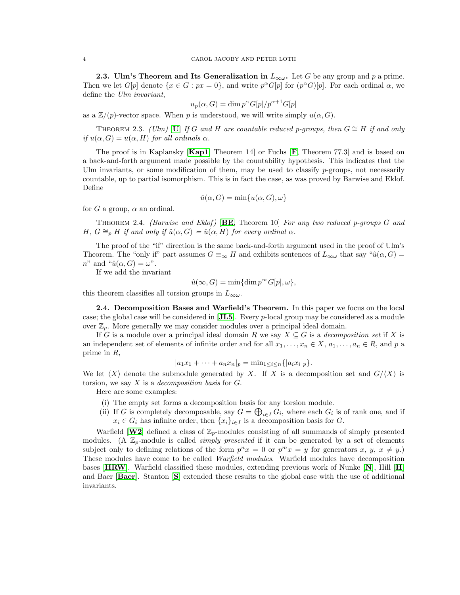2.3. Ulm's Theorem and Its Generalization in  $L_{\infty\omega}$ . Let G be any group and p a prime. Then we let  $G[p]$  denote  $\{x \in G : px = 0\}$ , and write  $p^{\alpha}G[p]$  for  $(p^{\alpha}G)[p]$ . For each ordinal  $\alpha$ , we define the *Ulm invariant*,

$$
u_p(\alpha, G) = \dim p^{\alpha} G[p]/p^{\alpha+1} G[p]
$$

as a  $\mathbb{Z}/(p)$ -vector space. When p is understood, we will write simply  $u(\alpha, G)$ .

THEOREM 2.3. *([U](#page-13-0)lm)* [U] If G and H are countable reduced p-groups, then  $G \cong H$  if and only *if*  $u(\alpha, G) = u(\alpha, H)$  *for all ordinals*  $\alpha$ *.* 

The proof is in Kaplansky  $[Kap1, Theorem 14]$  $[Kap1, Theorem 14]$  $[Kap1, Theorem 14]$  or [F](#page-12-12)uchs  $[F, Theorem 77.3]$  and is based on a back-and-forth argument made possible by the countability hypothesis. This indicates that the Ulm invariants, or some modification of them, may be used to classify  $p$ -groups, not necessarily countable, up to partial isomorphism. This is in fact the case, as was proved by Barwise and Eklof. Define

$$
\hat{u}(\alpha, G) = \min\{u(\alpha, G), \omega\}
$$

for G a group,  $\alpha$  an ordinal.

Theorem 2.4. *(Barwise and Eklof )* [[BE](#page-12-9), Theorem 10] *For any two reduced p-groups* G *and*  $H, G \cong_{p} H$  *if and only if*  $\hat{u}(\alpha, G) = \hat{u}(\alpha, H)$  *for every ordinal*  $\alpha$ *.* 

The proof of the "if" direction is the same back-and-forth argument used in the proof of Ulm's Theorem. The "only if" part assumes  $G \equiv_{\infty} H$  and exhibits sentences of  $L_{\infty \omega}$  that say " $\hat{u}(\alpha, G)$ "  $n^{\prime\prime}$  and " $\hat{u}(\alpha, G) = \omega^{\prime\prime}$ .

If we add the invariant

$$
\hat{u}(\infty, G) = \min\{\dim p^{\infty} G[p], \omega\},\
$$

this theorem classifies all torsion groups in  $L_{\infty \omega}$ .

2.4. Decomposition Bases and Warfield's Theorem. In this paper we focus on the local case; the global case will be considered in [[JL5](#page-12-8)]. Every p-local group may be considered as a module over  $\mathbb{Z}_p$ . More generally we may consider modules over a principal ideal domain.

If G is a module over a principal ideal domain R we say  $X \subseteq G$  is a *decomposition set* if X is an independent set of elements of infinite order and for all  $x_1, \ldots, x_n \in X$ ,  $a_1, \ldots, a_n \in R$ , and p a prime in R,

$$
|a_1x_1 + \cdots + a_nx_n|_p = \min_{1 \leq i \leq n} \{|a_ix_i|_p\}.
$$

We let  $\langle X \rangle$  denote the submodule generated by X. If X is a decomposition set and  $G/\langle X \rangle$  is torsion, we say X is a *decomposition basis* for G.

Here are some examples:

- (i) The empty set forms a decomposition basis for any torsion module.
- (ii) If G is completely decomposable, say  $G = \bigoplus_{i \in I} G_i$ , where each  $G_i$  is of rank one, and if  $x_i \in G_i$  has infinite order, then  $\{x_i\}_{i\in I}$  is a decomposition basis for G.

Warfield  $[\mathbf{W2}]$  $[\mathbf{W2}]$  $[\mathbf{W2}]$  defined a class of  $\mathbb{Z}_p$ -modules consisting of all summands of simply presented modules. (A  $\mathbb{Z}_p$ -module is called *simply presented* if it can be generated by a set of elements subject only to defining relations of the form  $p^n x = 0$  or  $p^m x = y$  for generators x, y,  $x \neq y$ . These modules have come to be called *Warfield modules*. Warfield modules have decomposition bases  $[\text{HRW}]$  $[\text{HRW}]$  $[\text{HRW}]$ . Warfield classified these modules, extending previous work of [N](#page-13-4)unke  $[N]$ , [H](#page-12-14)ill  $[H]$ and Baer [[Baer](#page-12-15)]. Stanton [[S](#page-13-5)] extended these results to the global case with the use of additional invariants.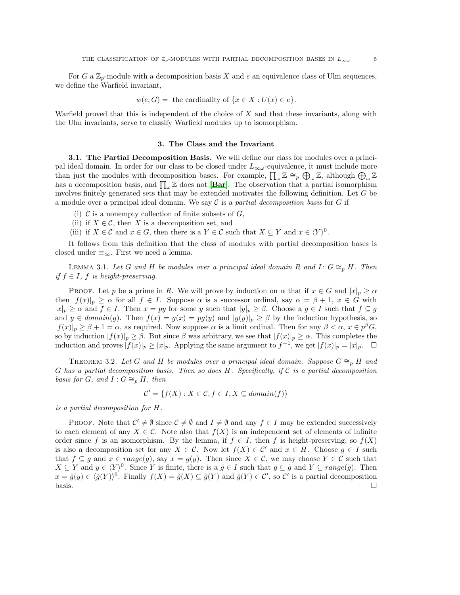For G a  $\mathbb{Z}_p$ -module with a decomposition basis X and e an equivalence class of Ulm sequences, we define the Warfield invariant,

$$
w(e, G) =
$$
 the cardinality of  $\{x \in X : U(x) \in e\}.$ 

Warfield proved that this is independent of the choice of  $X$  and that these invariants, along with the Ulm invariants, serve to classify Warfield modules up to isomorphism.

#### 3. The Class and the Invariant

3.1. The Partial Decomposition Basis. We will define our class for modules over a principal ideal domain. In order for our class to be closed under  $L_{\infty\omega}$ -equivalence, it must include more than just the modules with decomposition bases. For example,  $\prod_{\omega} \mathbb{Z} \cong_p \bigoplus_{\omega} \mathbb{Z}$ , although  $\bigoplus_{\omega} \mathbb{Z}$ has a decomposition basis, and  $\prod_{\omega} \mathbb{Z}$  does not [[Bar](#page-12-10)]. The observation that a partial isomorphism involves finitely generated sets that may be extended motivates the following definition. Let G be a module over a principal ideal domain. We say C is a *partial decomposition basis* for G if

- (i)  $\mathcal C$  is a nonempty collection of finite subsets of  $G$ ,
- (ii) if  $X \in \mathcal{C}$ , then X is a decomposition set, and
- (iii) if  $X \in \mathcal{C}$  and  $x \in G$ , then there is a  $Y \in \mathcal{C}$  such that  $X \subseteq Y$  and  $x \in \langle Y \rangle^0$ .

It follows from this definition that the class of modules with partial decomposition bases is closed under  $\equiv_{\infty}$ . First we need a lemma.

LEMMA 3.1. Let G and H be modules over a principal ideal domain R and I:  $G \cong_{p} H$ . Then *if*  $f \in I$ *,*  $f$  *is height-preserving.* 

PROOF. Let p be a prime in R. We will prove by induction on  $\alpha$  that if  $x \in G$  and  $|x|_p \ge \alpha$ then  $|f(x)|_p \ge \alpha$  for all  $f \in I$ . Suppose  $\alpha$  is a successor ordinal, say  $\alpha = \beta + 1$ ,  $x \in G$  with  $|x|_p \ge \alpha$  and  $f \in I$ . Then  $x = py$  for some y such that  $|y|_p \ge \beta$ . Choose a  $g \in I$  such that  $f \subseteq g$ and  $y \in domain(g)$ . Then  $f(x) = g(x) = pg(y)$  and  $|g(y)|_p \ge \beta$  by the induction hypothesis, so  $|f(x)|_p \geq \beta + 1 = \alpha$ , as required. Now suppose  $\alpha$  is a limit ordinal. Then for any  $\beta < \alpha$ ,  $x \in p^{\beta}G$ , so by induction  $|f(x)|_p \geq \beta$ . But since  $\beta$  was arbitrary, we see that  $|f(x)|_p \geq \alpha$ . This completes the induction and proves  $|f(x)|_p \ge |x|_p$ . Applying the same argument to  $f^{-1}$ , we get  $|f(x)|_p = |x|_p$ .  $\Box$ 

<span id="page-5-0"></span>THEOREM 3.2. Let G and H be modules over a principal ideal domain. Suppose  $G \cong_{p} H$  and G *has a partial decomposition basis. Then so does* H*. Specifically, if* C *is a partial decomposition basis for G, and*  $I: G \cong_{p} H$ *, then* 

$$
\mathcal{C}' = \{ f(X) : X \in \mathcal{C}, f \in I, X \subseteq domain(f) \}
$$

*is a partial decomposition for* H*.*

PROOF. Note that  $C' \neq \emptyset$  since  $C \neq \emptyset$  and  $I \neq \emptyset$  and any  $f \in I$  may be extended successively to each element of any  $X \in \mathcal{C}$ . Note also that  $f(X)$  is an independent set of elements of infinite order since f is an isomorphism. By the lemma, if  $f \in I$ , then f is height-preserving, so  $f(X)$ is also a decomposition set for any  $X \in \mathcal{C}$ . Now let  $f(X) \in \mathcal{C}'$  and  $x \in H$ . Choose  $g \in I$  such that  $f \subseteq g$  and  $x \in range(g)$ , say  $x = g(y)$ . Then since  $X \in \mathcal{C}$ , we may choose  $Y \in \mathcal{C}$  such that  $X \subseteq Y$  and  $y \in \langle Y \rangle^0$ . Since Y is finite, there is a  $\tilde{g} \in I$  such that  $g \subseteq \tilde{g}$  and  $Y \subseteq range(\tilde{g})$ . Then  $x = \tilde{g}(y) \in \langle \tilde{g}(Y) \rangle^0$ . Finally  $f(X) = \tilde{g}(X) \subseteq \tilde{g}(Y)$  and  $\tilde{g}(Y) \in \mathcal{C}'$ , so  $\mathcal{C}'$  is a partial decomposition basis.  $\square$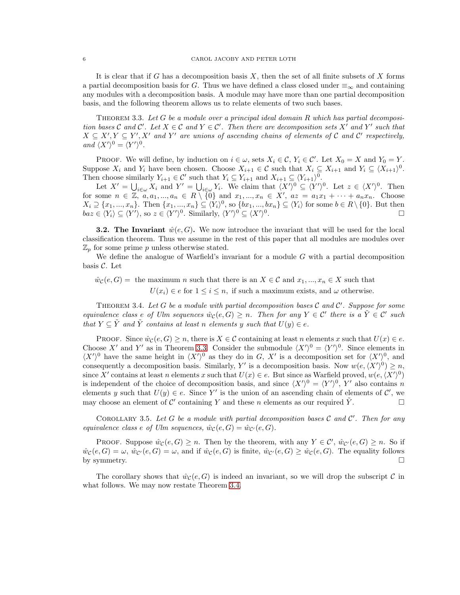It is clear that if G has a decomposition basis  $X$ , then the set of all finite subsets of  $X$  forms a partial decomposition basis for G. Thus we have defined a class closed under  $\equiv_{\infty}$  and containing any modules with a decomposition basis. A module may have more than one partial decomposition basis, and the following theorem allows us to relate elements of two such bases.

<span id="page-6-0"></span>Theorem 3.3. *Let* G *be a module over a principal ideal domain* R *which has partial decomposition bases*  $C$  *and*  $C'$ . Let  $X \in C$  *and*  $Y \in C'$ . Then there are decomposition sets  $X'$  *and*  $Y'$  *such that*  $X \subseteq X', Y \subseteq Y', X'$  and  $Y'$  are unions of ascending chains of elements of C and C' respectively, *and*  $\langle X' \rangle^0 = \langle Y' \rangle^0$ *.* 

PROOF. We will define, by induction on  $i \in \omega$ , sets  $X_i \in \mathcal{C}$ ,  $Y_i \in \mathcal{C}'$ . Let  $X_0 = X$  and  $Y_0 = Y$ . Suppose  $X_i$  and  $Y_i$  have been chosen. Choose  $X_{i+1} \in \mathcal{C}$  such that  $X_i \subseteq X_{i+1}$  and  $Y_i \subseteq \langle X_{i+1} \rangle^0$ . Then choose similarly  $Y_{i+1} \in \mathcal{C}'$  such that  $Y_i \subseteq Y_{i+1}$  and  $X_{i+1} \subseteq \langle Y_{i+1} \rangle^0$ .

Let  $X' = \bigcup_{i \in \omega} X_i$  and  $Y' = \bigcup_{i \in \omega} Y_i$ . We claim that  $\langle X' \rangle^0 \subseteq \langle Y' \rangle^0$ . Let  $z \in \langle X' \rangle^0$ . Then for some  $n \in \mathbb{Z}, a, a_1, ..., a_n \in R \setminus \{0\}$  and  $x_1, ..., x_n \in X'$ ,  $az = a_1x_1 + \cdots + a_nx_n$ . Choose  $X_i \supseteq \{x_1, ..., x_n\}$ . Then  $\{x_1, ..., x_n\} \subseteq \langle Y_i \rangle^0$ , so  $\{bx_1, ..., bx_n\} \subseteq \langle Y_i \rangle$  for some  $b \in R \setminus \{0\}$ . But then  $baz \in \langle Y_i \rangle \subseteq \langle Y' \rangle$ , so  $z \in \langle Y' \rangle^0$ . Similarly,  $\langle Y' \rangle^0 \subseteq \langle X' \rangle^0$ .

**3.2. The Invariant**  $\hat{w}(e, G)$ . We now introduce the invariant that will be used for the local classification theorem. Thus we assume in the rest of this paper that all modules are modules over  $\mathbb{Z}_p$  for some prime p unless otherwise stated.

We define the analogue of Warfield's invariant for a module  $G$  with a partial decomposition basis C. Let

 $\hat{w}_{\mathcal{C}}(e, G) =$  the maximum *n* such that there is an  $X \in \mathcal{C}$  and  $x_1, ..., x_n \in X$  such that

 $U(x_i) \in e$  for  $1 \leq i \leq n$ , if such a maximum exists, and  $\omega$  otherwise.

<span id="page-6-1"></span>Theorem 3.4. *Let* G *be a module with partial decomposition bases* C *and* C ′ *. Suppose for some equivalence class e of Ulm sequences*  $\hat{w}_{\mathcal{C}}(e, G) \geq n$ . Then for any  $Y \in \mathcal{C}'$  there is a  $\tilde{Y} \in \mathcal{C}'$  such *that*  $Y \subseteq \tilde{Y}$  *and*  $\tilde{Y}$  *contains at least n elements* y *such that*  $U(y) \in e$ .

PROOF. Since  $\hat{w}_\mathcal{C}(e, G) \geq n$ , there is  $X \in \mathcal{C}$  containing at least n elements x such that  $U(x) \in e$ . Choose X' and Y' as in Theorem [3.3.](#page-6-0) Consider the submodule  $\langle X' \rangle^0 = \langle Y' \rangle^0$ . Since elements in  $\langle X' \rangle^0$  have the same height in  $\langle X' \rangle^0$  as they do in G, X' is a decomposition set for  $\langle X' \rangle^0$ , and consequently a decomposition basis. Similarly, Y' is a decomposition basis. Now  $w(e, \langle X' \rangle^0) \geq n$ , since X' contains at least n elements x such that  $U(x) \in e$ . But since as Warfield proved,  $w(e, \langle X' \rangle^0)$ is independent of the choice of decomposition basis, and since  $\langle X' \rangle^0 = \langle Y' \rangle^0$ , Y' also contains n elements y such that  $U(y) \in e$ . Since Y' is the union of an ascending chain of elements of C', we may choose an element of C' containing Y and these n elements as our required  $\tilde{Y}$ .

Corollary 3.5. *Let* G *be a module with partial decomposition bases* C *and* C ′ *. Then for any equivalence class e of Ulm sequences,*  $\hat{w}_{\mathcal{C}}(e, G) = \hat{w}_{\mathcal{C}'}(e, G)$ .

PROOF. Suppose  $\hat{w}_{\mathcal{C}}(e, G) \geq n$ . Then by the theorem, with any  $Y \in \mathcal{C}'$ ,  $\hat{w}_{\mathcal{C}'}(e, G) \geq n$ . So if  $\hat{w}_{\mathcal{C}}(e, G) = \omega$ ,  $\hat{w}_{\mathcal{C}}(e, G) = \omega$ , and if  $\hat{w}_{\mathcal{C}}(e, G)$  is finite,  $\hat{w}_{\mathcal{C}}(e, G) \geq \hat{w}_{\mathcal{C}}(e, G)$ . The equality follows by symmetry.  $\Box$ 

The corollary shows that  $\hat{w}_\mathcal{C}(e, G)$  is indeed an invariant, so we will drop the subscript C in what follows. We may now restate Theorem [3.4.](#page-6-1)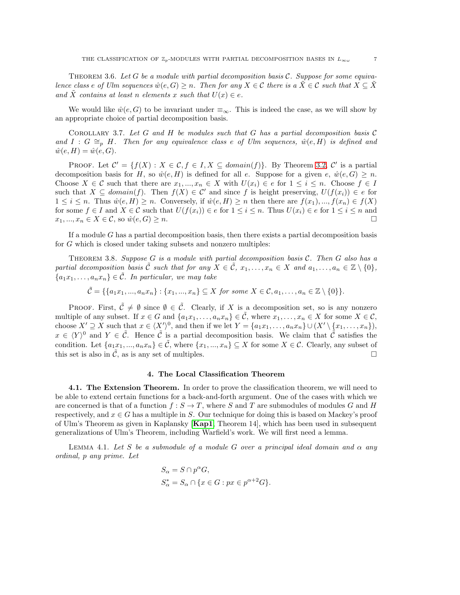<span id="page-7-3"></span>Theorem 3.6. *Let* G *be a module with partial decomposition basis* C*. Suppose for some equivalence class e of Ulm sequences*  $\hat{w}(e, G) \geq n$ . Then for any  $X \in \mathcal{C}$  there is a  $\hat{X} \in \mathcal{C}$  such that  $X \subseteq \hat{X}$ and  $\tilde{X}$  *contains* at least n elements x such that  $U(x) \in e$ .

We would like  $\hat{w}(e, G)$  to be invariant under  $\equiv_{\infty}$ . This is indeed the case, as we will show by an appropriate choice of partial decomposition basis.

<span id="page-7-2"></span>Corollary 3.7. *Let* G *and* H *be modules such that* G *has a partial decomposition basis* C and  $I : G \cong_{p} H$ . Then for any equivalence class e of Ulm sequences,  $\hat{w}(e, H)$  is defined and  $\hat{w}(e, H) = \hat{w}(e, G).$ 

PROOF. Let  $\mathcal{C}' = \{f(X) : X \in \mathcal{C}, f \in I, X \subseteq domain(f)\}.$  By Theorem [3.2,](#page-5-0)  $\mathcal{C}'$  is a partial decomposition basis for H, so  $\hat{w}(e, H)$  is defined for all e. Suppose for a given  $e, \hat{w}(e, G) \geq n$ . Choose  $X \in \mathcal{C}$  such that there are  $x_1, ..., x_n \in X$  with  $U(x_i) \in e$  for  $1 \leq i \leq n$ . Choose  $f \in I$ such that  $X \subseteq domain(f)$ . Then  $f(X) \in \mathcal{C}'$  and since f is height preserving,  $U(f(x_i)) \in e$  for  $1 \leq i \leq n$ . Thus  $\hat{w}(e, H) \geq n$ . Conversely, if  $\hat{w}(e, H) \geq n$  then there are  $f(x_1), ..., f(x_n) \in f(X)$ for some  $f \in I$  and  $X \in \mathcal{C}$  such that  $U(f(x_i)) \in e$  for  $1 \leq i \leq n$ . Thus  $U(x_i) \in e$  for  $1 \leq i \leq n$  and  $x_1, ..., x_n \in X \in \mathcal{C}$ , so  $\hat{w}(e, G) \geq n$ .

If a module  $G$  has a partial decomposition basis, then there exists a partial decomposition basis for G which is closed under taking subsets and nonzero multiples:

<span id="page-7-1"></span>Theorem 3.8. *Suppose* G *is a module with partial decomposition basis* C*. Then* G *also has a partial decomposition basis*  $\hat{\mathcal{C}}$  *such that for any*  $X \in \hat{\mathcal{C}}$ *,*  $x_1, \ldots, x_n \in X$  *and*  $a_1, \ldots, a_n \in \mathbb{Z} \setminus \{0\}$ *,*  ${a_1x_1, \ldots, a_nx_n} \in \tilde{\mathcal{C}}$ *. In particular, we may take* 

 $\tilde{\mathcal{C}} = \{ \{a_1x_1, ..., a_nx_n\} : \{x_1, ..., x_n\} \subseteq X \text{ for some } X \in \mathcal{C}, a_1, ..., a_n \in \mathbb{Z} \setminus \{0\} \}.$ 

PROOF. First,  $\tilde{\mathcal{C}} \neq \emptyset$  since  $\emptyset \in \tilde{\mathcal{C}}$ . Clearly, if X is a decomposition set, so is any nonzero multiple of any subset. If  $x \in G$  and  $\{a_1x_1, \ldots, a_nx_n\} \in \tilde{C}$ , where  $x_1, \ldots, x_n \in X$  for some  $X \in \mathcal{C}$ , choose  $X' \supseteq X$  such that  $x \in \langle X' \rangle^0$ , and then if we let  $Y = \{a_1x_1, \ldots, a_nx_n\} \cup \langle X' \setminus \{x_1, \ldots, x_n\} \rangle$ ,  $x \in \langle Y \rangle^0$  and  $Y \in \tilde{C}$ . Hence  $\tilde{C}$  is a partial decomposition basis. We claim that  $\tilde{C}$  satisfies the condition. Let  $\{a_1x_1, ..., a_nx_n\} \in \tilde{\mathcal{C}}$ , where  $\{x_1, ..., x_n\} \subseteq X$  for some  $X \in \mathcal{C}$ . Clearly, any subset of this set is also in  $\tilde{\mathcal{C}}$ , as is any set of multiples.

#### 4. The Local Classification Theorem

4.1. The Extension Theorem. In order to prove the classification theorem, we will need to be able to extend certain functions for a back-and-forth argument. One of the cases with which we are concerned is that of a function  $f : S \to T$ , where S and T are submodules of modules G and H respectively, and  $x \in G$  has a multiple in S. Our technique for doing this is based on Mackey's proof of Ulm's Theorem as given in Kaplansky  $[Kap1, Theorem 14]$  $[Kap1, Theorem 14]$  $[Kap1, Theorem 14]$ , which has been used in subsequent generalizations of Ulm's Theorem, including Warfield's work. We will first need a lemma.

<span id="page-7-0"></span>LEMMA 4.1. Let S be a submodule of a module G over a principal ideal domain and  $\alpha$  any *ordinal,* p *any prime. Let*

$$
\begin{aligned} S_{\alpha} &= S \cap p^{\alpha} G, \\ S_{\alpha}^* &= S_{\alpha} \cap \{x \in G: px \in p^{\alpha+2} G\}. \end{aligned}
$$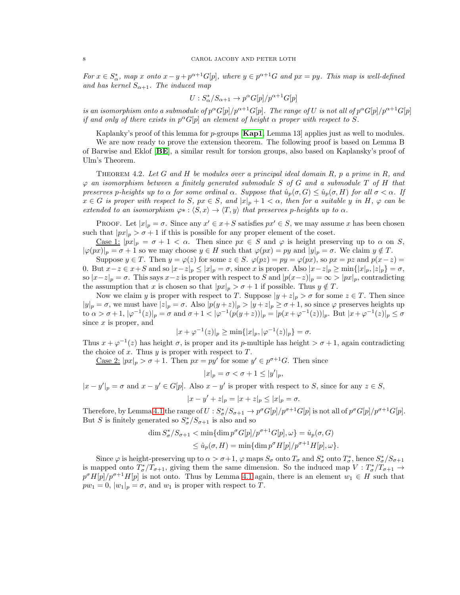*For*  $x \in S^*_{\alpha}$ , map x onto  $x - y + p^{\alpha+1}G[p]$ , where  $y \in p^{\alpha+1}G$  and  $px = py$ . This map is well-defined *and has kernel*  $S_{\alpha+1}$ *. The induced map* 

$$
U: S^*_{\alpha}/S_{\alpha+1} \to p^{\alpha}G[p]/p^{\alpha+1}G[p]
$$

*is an isomorphism onto a submodule of*  $p^{\alpha}G[p]/p^{\alpha+1}G[p]$ . The range of U *is not all of*  $p^{\alpha}G[p]/p^{\alpha+1}G[p]$ *if and only of there exists in*  $p^{\alpha}G[p]$  *an element of height*  $\alpha$  *proper with respect to* S.

Kaplanky's proof of this lemma for  $p$ -groups  $[Kap1, Lemma 13]$  $[Kap1, Lemma 13]$  $[Kap1, Lemma 13]$  applies just as well to modules.

We are now ready to prove the extension theorem. The following proof is based on Lemma B of Barwise and Eklof [[BE](#page-12-9)], a similar result for torsion groups, also based on Kaplansky's proof of Ulm's Theorem.

<span id="page-8-0"></span>Theorem 4.2. *Let* G *and* H *be modules over a principal ideal domain* R*,* p *a prime in* R*, and* ϕ *an isomorphism between a finitely generated submodule* S *of* G *and a submodule* T *of* H *that preserves* p-heights up to  $\alpha$  *for some ordinal*  $\alpha$ *. Suppose that*  $\hat{u}_p(\sigma, G) \leq \hat{u}_p(\sigma, H)$  *for all*  $\sigma < \alpha$ *. If*  $x \in G$  *is proper with respect to* S,  $px \in S$ , and  $|x|_p + 1 < \alpha$ , then for a suitable y in H,  $\varphi$  can be *extended to an isomorphism*  $\varphi$ <sup>\*</sup> :  $\langle S, x \rangle \to \langle T, y \rangle$  *that preserves p-heights up to*  $\alpha$ *.* 

PROOF. Let  $|x|_p = \sigma$ . Since any  $x' \in x + S$  satisfies  $px' \in S$ , we may assume x has been chosen such that  $|px|_p > \sigma + 1$  if this is possible for any proper element of the coset.

<u>Case 1:</u>  $|px|_p = \sigma + 1 < \alpha$ . Then since  $px \in S$  and  $\varphi$  is height preserving up to  $\alpha$  on S,  $|\varphi(px)|_p = \sigma + 1$  so we may choose  $y \in H$  such that  $\varphi(px) = py$  and  $|y|_p = \sigma$ . We claim  $y \notin T$ .

Suppose  $y \in T$ . Then  $y = \varphi(z)$  for some  $z \in S$ .  $\varphi(pz) = py = \varphi(px)$ , so  $px = pz$  and  $p(x-z) =$ 0. But  $x-z \in x+S$  and so  $|x-z|_p \le |x|_p = \sigma$ , since x is proper. Also  $|x-z|_p \ge \min\{|x|_p, |z|_p\} = \sigma$ , so  $|x-z|_p = \sigma$ . This says  $x-z$  is proper with respect to S and  $|p(x-z)|_p = \infty > |px|_p$ , contradicting the assumption that x is chosen so that  $|px|_p > \sigma + 1$  if possible. Thus  $y \notin T$ .

Now we claim y is proper with respect to T. Suppose  $|y + z|_p > \sigma$  for some  $z \in T$ . Then since  $|y|_p = \sigma$ , we must have  $|z|_p = \sigma$ . Also  $|p(y + z)|_p > |y + z|_p \ge \sigma + 1$ , so since  $\varphi$  preserves heights up  $\int_0^{\infty} \alpha > \sigma + 1, |\varphi^{-1}(z)|_p = \sigma \text{ and } \sigma + 1 < |\varphi^{-1}(p(y+z))|_p = |p(x+\varphi^{-1}(z))|_p.$  But  $|x+\varphi^{-1}(z)|_p \leq \sigma$ since  $x$  is proper, and

$$
|x + \varphi^{-1}(z)|_p \ge \min\{|x|_p, |\varphi^{-1}(z)|_p\} = \sigma.
$$

Thus  $x + \varphi^{-1}(z)$  has height  $\sigma$ , is proper and its p-multiple has height  $>\sigma+1$ , again contradicting the choice of x. Thus  $y$  is proper with respect to  $T$ .

<u>Case 2</u>:  $|px|_p > \sigma + 1$ . Then  $px = py'$  for some  $y' \in p^{\sigma+1}G$ . Then since

$$
|x|_p = \sigma < \sigma + 1 \le |y'|_p,
$$

 $|x-y'|_p = \sigma$  and  $x-y' \in G[p]$ . Also  $x-y'$  is proper with respect to S, since for any  $z \in S$ ,

$$
|x - y' + z|_p = |x + z|_p \le |x|_p = \sigma.
$$

Therefore, by Lemma [4.1](#page-7-0) the range of  $U : S^*_{\sigma}/S_{\sigma+1} \to p^{\sigma}G[p]/p^{\sigma+1}G[p]$  is not all of  $p^{\sigma}G[p]/p^{\sigma+1}G[p]$ . But S is finitely generated so  $S^*_{\sigma}/S_{\sigma+1}$  is also and so

$$
\dim S^*_{\sigma}/S_{\sigma+1} < \min\{\dim p^{\sigma}G[p]/p^{\sigma+1}G[p], \omega\} = \hat{u}_p(\sigma, G)
$$
  

$$
\leq \hat{u}_p(\sigma, H) = \min\{\dim p^{\sigma}H[p]/p^{\sigma+1}H[p], \omega\}.
$$

Since  $\varphi$  is height-preserving up to  $\alpha > \sigma + 1$ ,  $\varphi$  maps  $S_{\sigma}$  onto  $T_{\sigma}$  and  $S_{\sigma}^*$  onto  $T_{\sigma}^*$ , hence  $S_{\sigma}^*/S_{\sigma+1}$ is mapped onto  $T^*_\sigma/T_{\sigma+1}$ , giving them the same dimension. So the induced map  $V: T^*_\sigma/T_{\sigma+1} \to$  $p^{\sigma}H[p]/p^{\sigma+1}H[p]$  is not onto. Thus by Lemma [4.1](#page-7-0) again, there is an element  $w_1 \in H$  such that  $pw_1 = 0$ ,  $|w_1|_p = \sigma$ , and  $w_1$  is proper with respect to T.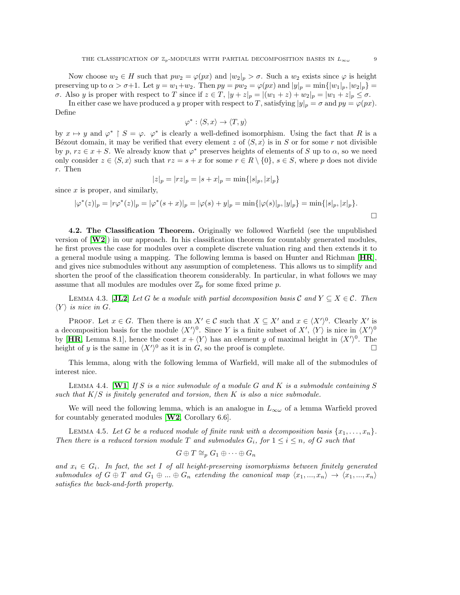Now choose  $w_2 \in H$  such that  $pw_2 = \varphi(px)$  and  $|w_2|_p > \sigma$ . Such a  $w_2$  exists since  $\varphi$  is height preserving up to  $\alpha > \sigma+1$ . Let  $y = w_1+w_2$ . Then  $py = pw_2 = \varphi(px)$  and  $|y|_p = \min\{|w_1|_p, |w_2|_p\} =$ σ. Also y is proper with respect to T since if  $z \in T$ ,  $|y+z|_p = |(w_1+z)+w_2|_p = |w_1+z|_p \leq \sigma$ .

In either case we have produced a y proper with respect to T, satisfying  $|y|_p = \sigma$  and  $py = \varphi(px)$ . Define

$$
\varphi^* : \langle S, x \rangle \to \langle T, y \rangle
$$

by  $x \mapsto y$  and  $\varphi^*$  |  $S = \varphi$ .  $\varphi^*$  is clearly a well-defined isomorphism. Using the fact that R is a Bézout domain, it may be verified that every element z of  $\langle S, x \rangle$  is in S or for some r not divisible by p,  $rz \in x + S$ . We already know that  $\varphi^*$  preserves heights of elements of S up to  $\alpha$ , so we need only consider  $z \in \langle S, x \rangle$  such that  $rz = s + x$  for some  $r \in R \setminus \{0\}$ ,  $s \in S$ , where p does not divide r. Then

$$
|z|_p = |rz|_p = |s + x|_p = \min\{|s|_p, |x|_p\}
$$

since  $x$  is proper, and similarly,

$$
|\varphi^*(z)|_p = |r\varphi^*(z)|_p = |\varphi^*(s+x)|_p = |\varphi(s) + y|_p = \min\{|\varphi(s)|_p, |y|_p\} = \min\{|s|_p, |x|_p\}.
$$

4.2. The Classification Theorem. Originally we followed Warfield (see the unpublished version of  $[\mathbf{W2}]$  $[\mathbf{W2}]$  $[\mathbf{W2}]$  in our approach. In his classification theorem for countably generated modules, he first proves the case for modules over a complete discrete valuation ring and then extends it to a general module using a mapping. The following lemma is based on Hunter and Richman  $[HR]$  $[HR]$  $[HR]$ , and gives nice submodules without any assumption of completeness. This allows us to simplify and shorten the proof of the classification theorem considerably. In particular, in what follows we may assume that all modules are modules over  $\mathbb{Z}_p$  for some fixed prime p.

<span id="page-9-0"></span>LEMMA 4.3.  $[\mathbf{JL2}]$  $[\mathbf{JL2}]$  $[\mathbf{JL2}]$  *Let* G *be a module with partial decomposition basis* C and  $Y \subseteq X \in \mathcal{C}$ *. Then*  $\langle Y \rangle$  *is nice in G.* 

PROOF. Let  $x \in G$ . Then there is an  $X' \in \mathcal{C}$  such that  $X \subseteq X'$  and  $x \in \langle X' \rangle^0$ . Clearly X' is a decomposition basis for the module  $\langle X' \rangle^0$ . Since Y is a finite subset of  $X'$ ,  $\langle Y \rangle$  is nice in  $\langle X' \rangle^0$ by [[HR](#page-12-16), Lemma 8.1], hence the coset  $x + \langle Y \rangle$  has an element y of maximal height in  $\langle X' \rangle^0$ . The height of y is the same in  $\langle X' \rangle^0$  as it is in G, so the proof is complete.

This lemma, along with the following lemma of Warfield, will make all of the submodules of interest nice.

<span id="page-9-1"></span>Lemma 4.4. [[W1](#page-13-6)] *If* S *is a nice submodule of a module* G *and* K *is a submodule containing* S *such that* K/S *is finitely generated and torsion, then* K *is also a nice submodule.*

We will need the following lemma, which is an analogue in  $L_{\infty}$  of a lemma Warfield proved for countably generated modules  $[W2, Corollary 6.6]$  $[W2, Corollary 6.6]$  $[W2, Corollary 6.6]$ .

<span id="page-9-2"></span>LEMMA 4.5. Let G be a reduced module of finite rank with a decomposition basis  $\{x_1, \ldots, x_n\}$ . *Then there is a reduced torsion module* T *and submodules*  $G_i$ *, for*  $1 \leq i \leq n$ *, of* G *such that* 

$$
G \oplus T \cong_p G_1 \oplus \cdots \oplus G_n
$$

*and*  $x_i \in G_i$ . In fact, the set I of all height-preserving isomorphisms between finitely generated *submodules of*  $G \oplus T$  *and*  $G_1 \oplus ... \oplus G_n$  *extending the canonical map*  $\langle x_1, ..., x_n \rangle \rightarrow \langle x_1, ..., x_n \rangle$ *satisfies the back-and-forth property.*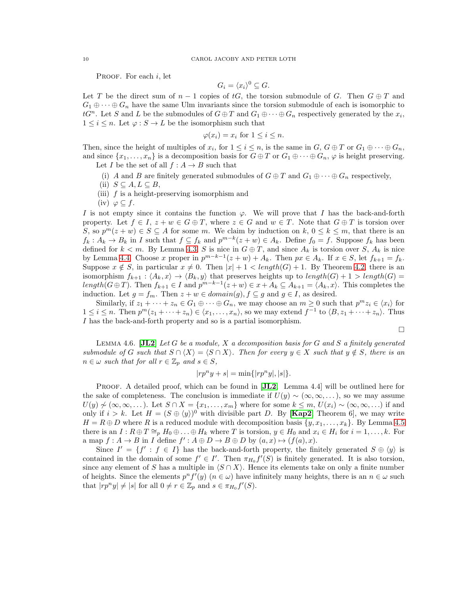PROOF. For each  $i$ , let

$$
G_i = \langle x_i \rangle^0 \subseteq G.
$$

Let T be the direct sum of  $n-1$  copies of tG, the torsion submodule of G. Then  $G \oplus T$  and  $G_1 \oplus \cdots \oplus G_n$  have the same Ulm invariants since the torsion submodule of each is isomorphic to  $tG^n$ . Let S and L be the submodules of  $G \oplus T$  and  $G_1 \oplus \cdots \oplus G_n$  respectively generated by the  $x_i$ ,  $1 \leq i \leq n$ . Let  $\varphi : S \to L$  be the isomorphism such that

$$
\varphi(x_i) = x_i \text{ for } 1 \le i \le n.
$$

Then, since the height of multiples of  $x_i$ , for  $1 \le i \le n$ , is the same in  $G$ ,  $G \oplus T$  or  $G_1 \oplus \cdots \oplus G_n$ , and since  $\{x_1, \ldots, x_n\}$  is a decomposition basis for  $G \oplus T$  or  $G_1 \oplus \cdots \oplus G_n$ ,  $\varphi$  is height preserving. Let I be the set of all  $f : A \rightarrow B$  such that

- (i) A and B are finitely generated submodules of  $G \oplus T$  and  $G_1 \oplus \cdots \oplus G_n$  respectively,
- (ii)  $S \subseteq A, L \subseteq B$ ,
- (iii)  $f$  is a height-preserving isomorphism and
- $(iv) \varphi \subseteq f$ .

I is not empty since it contains the function  $\varphi$ . We will prove that I has the back-and-forth property. Let  $f \in I$ ,  $z + w \in G \oplus T$ , where  $z \in G$  and  $w \in T$ . Note that  $G \oplus T$  is torsion over S, so  $p^{m}(z + w) \in S \subseteq A$  for some m. We claim by induction on  $k, 0 \leq k \leq m$ , that there is an  $f_k: A_k \to B_k$  in I such that  $f \subseteq f_k$  and  $p^{m-k}(z+w) \in A_k$ . Define  $f_0 = f$ . Suppose  $f_k$  has been defined for  $k < m$ . By Lemma [4.3,](#page-9-0) S is nice in  $G \oplus T$ , and since  $A_k$  is torsion over S,  $A_k$  is nice by Lemma [4.4.](#page-9-1) Choose x proper in  $p^{m-k-1}(z+w) + A_k$ . Then  $px \in A_k$ . If  $x \in S$ , let  $f_{k+1} = f_k$ . Suppose  $x \notin S$ , in particular  $x \neq 0$ . Then  $|x| + 1 < length(G) + 1$ . By Theorem [4.2,](#page-8-0) there is an isomorphism  $f_{k+1}$ :  $\langle A_k, x \rangle \rightarrow \langle B_k, y \rangle$  that preserves heights up to  $length(G) + 1 > length(G) =$ length( $G \oplus T$ ). Then  $f_{k+1} \in I$  and  $p^{m-k-1}(z+w) \in x + A_k \subseteq A_{k+1} = \langle A_k, x \rangle$ . This completes the induction. Let  $g = f_m$ . Then  $z + w \in domain(g)$ ,  $f \subseteq g$  and  $g \in I$ , as desired.

Similarly, if  $z_1 + \cdots + z_n \in G_1 \oplus \cdots \oplus G_n$ , we may choose an  $m \geq 0$  such that  $p^m z_i \in \langle x_i \rangle$  for  $1 \leq i \leq n$ . Then  $p^m(z_1 + \cdots + z_n) \in \langle x_1, \ldots, x_n \rangle$ , so we may extend  $f^{-1}$  to  $\langle B, z_1 + \cdots + z_n \rangle$ . Thus I has the back-and-forth property and so is a partial isomorphism.

$$
\Box
$$

<span id="page-10-0"></span>Lemma 4.6. [[JL2](#page-12-4)] *Let* G *be a module,* X *a decomposition basis for* G *and* S *a finitely generated submodule of* G *such that*  $S \cap \langle X \rangle = \langle S \cap X \rangle$ *. Then for every*  $y \in X$  *such that*  $y \notin S$ *, there is an*  $n \in \omega$  *such that for all*  $r \in \mathbb{Z}_p$  *and*  $s \in S$ *,* 

$$
|rp^n y + s| = \min\{|rp^n y|, |s|\}.
$$

PROOF. A detailed proof, which can be found in [[JL2](#page-12-4), Lemma 4.4] will be outlined here for the sake of completeness. The conclusion is immediate if  $U(y) \sim (\infty, \infty, \ldots)$ , so we may assume  $U(y) \not\sim (\infty, \infty, \dots)$ . Let  $S \cap X = \{x_1, \dots, x_m\}$  where for some  $k \leq m$ ,  $U(x_i) \sim (\infty, \infty, \dots)$  if and only if  $i > k$ . Let  $H = (S \oplus \langle y \rangle)^0$  with divisible part D. By [[Kap2](#page-13-7), Theorem 6], we may write  $H = R \oplus D$  where R is a reduced module with decomposition basis  $\{y, x_1, \ldots, x_k\}$ . By Lemma [4.5](#page-9-2) there is an  $I: R \oplus T \cong_{p} H_{0} \oplus \ldots \oplus H_{k}$  where T is torsion,  $y \in H_{0}$  and  $x_{i} \in H_{i}$  for  $i = 1, \ldots, k$ . For a map  $f: A \to B$  in I define  $f': A \oplus D \to B \oplus D$  by  $(a, x) \mapsto (f(a), x)$ .

Since  $I' = \{f' : f \in I\}$  has the back-and-forth property, the finitely generated  $S \oplus \langle y \rangle$  is contained in the domain of some  $f' \in I'$ . Then  $\pi_{H_0} f'(S)$  is finitely generated. It is also torsion, since any element of S has a multiple in  $\langle S \cap X \rangle$ . Hence its elements take on only a finite number of heights. Since the elements  $p^n f'(y)$   $(n \in \omega)$  have infinitely many heights, there is an  $n \in \omega$  such that  $|rp^n y| \neq |s|$  for all  $0 \neq r \in \mathbb{Z}_p$  and  $s \in \pi_{H_0} f'(S)$ .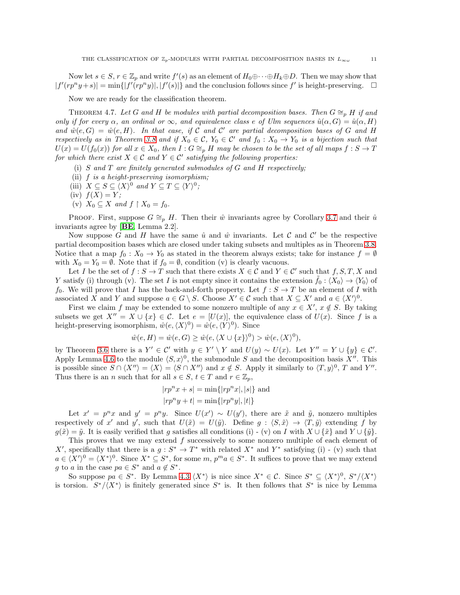Now let  $s \in S$ ,  $r \in \mathbb{Z}_p$  and write  $f'(s)$  as an element of  $H_0 \oplus \cdots \oplus H_k \oplus D$ . Then we may show that  $|f'(rp^n y+s)| = \min\{|f'(rp^n y)|, |f'(s)|\}$  and the conclusion follows since f' is height-preserving.  $\square$ 

Now we are ready for the classification theorem.

THEOREM 4.7. Let G and H be modules with partial decomposition bases. Then  $G \cong_{p} H$  if and *only if for every*  $\alpha$ , an ordinal or  $\infty$ , and equivalence class e of Ulm sequences  $\hat{u}(\alpha, G) = \hat{u}(\alpha, H)$ and  $\hat{w}(e, G) = \hat{w}(e, H)$ . In that case, if C and C' are partial decomposition bases of G and H *respectively as in Theorem [3.8](#page-7-1) and if*  $X_0 \in \mathcal{C}$ ,  $Y_0 \in \mathcal{C}'$  and  $f_0: X_0 \to Y_0$  *is a bijection such that*  $U(x) = U(f_0(x))$  for all  $x \in X_0$ , then  $I : G \cong_p H$  *may be chosen to be the set of all maps*  $f : S \to T$ *for which there exist*  $X \in \mathcal{C}$  *and*  $Y \in \mathcal{C}'$  *satisfying the following properties:* 

- (i) S *and* T *are finitely generated submodules of* G *and* H *respectively;*
- (ii) f *is a height-preserving isomorphism;*
- (iii)  $X \subseteq S \subseteq \langle X \rangle^0$  and  $Y \subseteq T \subseteq \langle Y \rangle^0$ ;
- (iv)  $f(X) = Y;$
- (v)  $X_0 \subseteq X$  *and*  $f \upharpoonright X_0 = f_0$ .

PROOF. First, suppose  $G \cong_{p} H$ . Then their  $\hat{w}$  invariants agree by Corollary [3.7](#page-7-2) and their  $\hat{u}$ invariants agree by [[BE](#page-12-9), Lemma 2.2].

Now suppose G and H have the same  $\hat{u}$  and  $\hat{w}$  invariants. Let C and C' be the respective partial decomposition bases which are closed under taking subsets and multiples as in Theorem [3.8.](#page-7-1) Notice that a map  $f_0: X_0 \to Y_0$  as stated in the theorem always exists; take for instance  $f = \emptyset$ with  $X_0 = Y_0 = \emptyset$ . Note that if  $f_0 = \emptyset$ , condition (v) is clearly vacuous.

Let I be the set of  $f : S \to T$  such that there exists  $X \in \mathcal{C}$  and  $Y \in \mathcal{C}'$  such that  $f, S, T, X$  and Y satisfy (i) through (v). The set I is not empty since it contains the extension  $\hat{f}_0$ :  $\langle X_0 \rangle \to \langle Y_0 \rangle$  of f<sub>0</sub>. We will prove that I has the back-and-forth property. Let  $f : S \to T$  be an element of I with associated X and Y and suppose  $a \in G \setminus S$ . Choose  $X' \in \mathcal{C}$  such that  $X \subseteq X'$  and  $a \in \langle X' \rangle^0$ .

First we claim f may be extended to some nonzero multiple of any  $x \in X'$ ,  $x \notin S$ . By taking subsets we get  $X'' = X \cup \{x\} \in \mathcal{C}$ . Let  $e = [U(x)]$ , the equivalence class of  $U(x)$ . Since f is a height-preserving isomorphism,  $\hat{w}(e,\langle X\rangle^0) = \hat{w}(e,\langle Y\rangle^0)$ . Since

$$
\hat{w}(e, H) = \hat{w}(e, G) \ge \hat{w}(e, \langle X \cup \{x\} \rangle^0) > \hat{w}(e, \langle X \rangle^0),
$$

by Theorem [3.6](#page-7-3) there is a  $Y' \in \mathcal{C}'$  with  $y \in Y' \setminus Y$  and  $U(y) \sim U(x)$ . Let  $Y'' = Y \cup \{y\} \in \mathcal{C}'$ . Apply Lemma [4.6](#page-10-0) to the module  $\langle S, x \rangle^0$ , the submodule S and the decomposition basis X''. This is possible since  $S \cap \langle X'' \rangle = \langle S \cap X'' \rangle$  and  $x \notin S$ . Apply it similarly to  $\langle T, y \rangle^0$ , T and Y''. Thus there is an n such that for all  $s \in S$ ,  $t \in T$  and  $r \in \mathbb{Z}_p$ ,

$$
|rp^n x + s|
$$
 = min{ $|rp^n x|, |s|$ } and  
 $|rp^n y + t|$  = min{ $|rp^n y|, |t|$ }

Let  $x' = p^n x$  and  $y' = p^n y$ . Since  $U(x') \sim U(y')$ , there are  $\tilde{x}$  and  $\tilde{y}$ , nonzero multiples respectively of x' and y', such that  $U(\tilde{x}) = U(\tilde{y})$ . Define  $g : \langle S, \tilde{x} \rangle \to \langle T, \tilde{y} \rangle$  extending f by  $g(\tilde{x}) = \tilde{y}$ . It is easily verified that g satisfies all conditions (i) - (v) on I with  $X \cup {\tilde{x}}$  and  $Y \cup {\tilde{y}}$ .

This proves that we may extend f successively to some nonzero multiple of each element of X', specifically that there is a  $g: S^* \to T^*$  with related  $X^*$  and  $Y^*$  satisfying (i) - (v) such that  $a \in \langle X' \rangle^0 = \langle X^* \rangle^0$ . Since  $X^* \subseteq S^*$ , for some  $m, p^m a \in S^*$ . It suffices to prove that we may extend g to a in the case  $pa \in S^*$  and  $a \notin S^*$ .

So suppose  $pa \in S^*$ . By Lemma [4.3](#page-9-0)  $\langle X^* \rangle$  is nice since  $X^* \in \mathcal{C}$ . Since  $S^* \subseteq \langle X^* \rangle^0$ ,  $S^* / \langle X^* \rangle$ is torsion.  $S^*/\langle X^* \rangle$  is finitely generated since  $S^*$  is. It then follows that  $S^*$  is nice by Lemma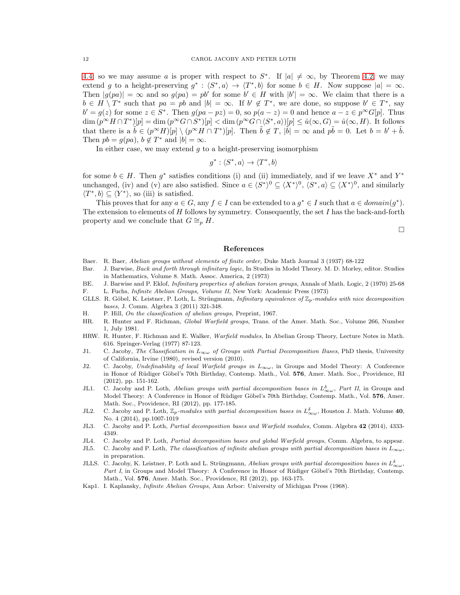[4.4,](#page-9-1) so we may assume a is proper with respect to  $S^*$ . If  $|a| \neq \infty$ , by Theorem [4.2,](#page-8-0) we may extend g to a height-preserving  $g^*: \langle S^*, a \rangle \to \langle T^*, b \rangle$  for some  $b \in H$ . Now suppose  $|a| = \infty$ . Then  $|g(pa)| = \infty$  and so  $g(pa) = pb'$  for some  $b' \in H$  with  $|b'| = \infty$ . We claim that there is a  $b \in H \setminus T^*$  such that  $pa = pb$  and  $|b| = \infty$ . If  $b' \notin T^*$ , we are done, so suppose  $b' \in T^*$ , say  $b' = g(z)$  for some  $z \in S^*$ . Then  $g(pa - pz) = 0$ , so  $p(a - z) = 0$  and hence  $a - z \in p^{\infty}G[p]$ . Thus  $\dim (p^{\infty}H \cap T^*)[p] = \dim (p^{\infty}G \cap S^*)[p] < \dim (p^{\infty}G \cap \langle S^*,a \rangle)[p] \leq \hat{u}(\infty, G) = \hat{u}(\infty, H)$ . It follows that there is a  $\tilde{b} \in (p^{\infty}H)[p] \setminus (p^{\infty}H \cap T^*)[p]$ . Then  $\tilde{b} \notin T$ ,  $|\tilde{b}| = \infty$  and  $p\tilde{b} = 0$ . Let  $b = b' + \tilde{b}$ . Then  $pb = g(pa)$ ,  $b \notin T^*$  and  $|b| = \infty$ .

In either case, we may extend  $g$  to a height-preserving isomorphism

$$
g^*: \langle S^*, a \rangle \to \langle T^*, b \rangle
$$

for some  $b \in H$ . Then  $g^*$  satisfies conditions (i) and (ii) immediately, and if we leave  $X^*$  and  $Y^*$ unchanged, (iv) and (v) are also satisfied. Since  $a \in \langle S^* \rangle^0 \subseteq \langle X^* \rangle^0$ ,  $\langle S^*, a \rangle \subseteq \langle X^* \rangle^0$ , and similarly  $\langle T^*, b \rangle \subseteq \langle Y^* \rangle$ , so (iii) is satisfied.

This proves that for any  $a \in G$ , any  $f \in I$  can be extended to a  $g^* \in I$  such that  $a \in domain(g^*)$ . The extension to elements of H follows by symmetry. Consequently, the set I has the back-and-forth property and we conclude that  $G \cong_{p} H$ .

 $\Box$ 

#### References

- <span id="page-12-15"></span>Baer. R. Baer, Abelian groups without elements of finite order, Duke Math Journal 3 (1937) 68-122
- <span id="page-12-10"></span>Bar. J. Barwise, Back and forth through infinitary logic, In Studies in Model Theory. M. D. Morley, editor. Studies in Mathematics, Volume 8. Math. Assoc. America, 2 (1973)
- <span id="page-12-9"></span>BE. J. Barwise and P. Eklof, Infinitary properties of abelian torsion groups, Annals of Math. Logic, 2 (1970) 25-68
- <span id="page-12-12"></span>F. L. Fuchs, Infinite Abelian Groups, Volume II, New York: Academic Press (1973)
- <span id="page-12-7"></span>GLLS. R. Göbel, K. Leistner, P. Loth, L. Strüngmann, Infinitary equivalence of  $\mathbb{Z}_p$ -modules with nice decomposition bases, J. Comm. Algebra 3 (2011) 321-348.
- <span id="page-12-14"></span>H. P. Hill, On the classification of abelian groups, Preprint, 1967.
- <span id="page-12-16"></span>HR. R. Hunter and F. Richman, Global Warfield groups, Trans. of the Amer. Math. Soc., Volume 266, Number 1, July 1981.
- <span id="page-12-13"></span>HRW. R. Hunter, F. Richman and E. Walker, Warfield modules, In Abelian Group Theory, Lecture Notes in Math. 616. Springer-Verlag (1977) 87-123.
- <span id="page-12-0"></span>J1. C. Jacoby, The Classification in  $L_{\infty}$  of Groups with Partial Decomposition Bases, PhD thesis, University of California, Irvine (1980), revised version (2010).
- <span id="page-12-3"></span>J2. C. Jacoby, Undefinability of local Warfield groups in  $L_{\infty}\omega$ , in Groups and Model Theory: A Conference in Honor of Rüdiger Göbel's 70th Birthday, Contemp. Math., Vol. 576, Amer. Math. Soc., Providence, RI (2012), pp. 151-162.
- <span id="page-12-2"></span>JL1. C. Jacoby and P. Loth, Abelian groups with partial decomposition bases in  $L_{\infty\omega}^{\delta}$ , Part II, in Groups and Model Theory: A Conference in Honor of Rüdiger Göbel's 70th Birthday, Contemp. Math., Vol. 576, Amer. Math. Soc., Providence, RI (2012), pp. 177-185.
- <span id="page-12-4"></span>JL2. C. Jacoby and P. Loth,  $\mathbb{Z}_p$ -modules with partial decomposition bases in  $L_{\infty\omega}^{\delta}$ , Houston J. Math. Volume 40, No. 4 (2014), pp.1007-1019
- <span id="page-12-5"></span>JL3. C. Jacoby and P. Loth, Partial decomposition bases and Warfield modules, Comm. Algebra 42 (2014), 4333-4349.
- <span id="page-12-6"></span>JL4. C. Jacoby and P. Loth, Partial decomposition bases and global Warfield groups, Comm. Algebra, to appear.
- <span id="page-12-8"></span>JL5. C. Jacoby and P. Loth, The classification of infinite abelian groups with partial decomposition bases in  $L_{\infty}\omega$ , in preparation.
- <span id="page-12-1"></span>JLLS. C. Jacoby, K. Leistner, P. Loth and L. Strüngmann, Abelian groups with partial decomposition bases in  $L^{\delta}_{\infty\omega}$ , Part I, in Groups and Model Theory: A Conference in Honor of Rüdiger Göbel's 70th Birthday, Contemp. Math., Vol. 576, Amer. Math. Soc., Providence, RI (2012), pp. 163-175.
- <span id="page-12-11"></span>Kap1. I. Kaplansky, Infinite Abelian Groups, Ann Arbor: University of Michigan Press (1968).